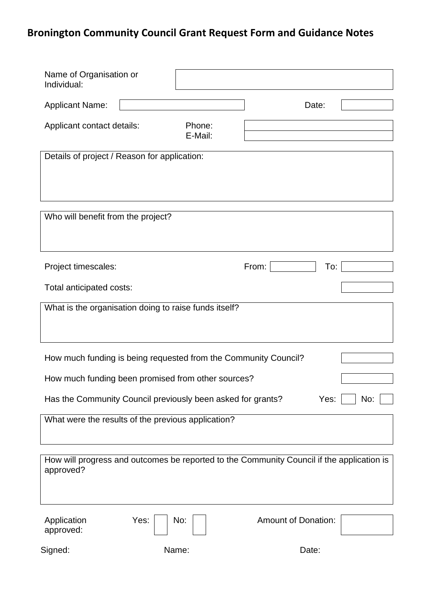# **Bronington Community Council Grant Request Form and Guidance Notes**

| Name of Organisation or<br>Individual:                                                                 |                   |                            |  |
|--------------------------------------------------------------------------------------------------------|-------------------|----------------------------|--|
| <b>Applicant Name:</b>                                                                                 |                   | Date:                      |  |
| Applicant contact details:                                                                             | Phone:<br>E-Mail: |                            |  |
| Details of project / Reason for application:                                                           |                   |                            |  |
| Who will benefit from the project?                                                                     |                   |                            |  |
| Project timescales:                                                                                    |                   | From:<br>To:               |  |
| Total anticipated costs:                                                                               |                   |                            |  |
| What is the organisation doing to raise funds itself?                                                  |                   |                            |  |
| How much funding is being requested from the Community Council?                                        |                   |                            |  |
| How much funding been promised from other sources?                                                     |                   |                            |  |
| Has the Community Council previously been asked for grants?<br>Yes:<br>No:                             |                   |                            |  |
| What were the results of the previous application?                                                     |                   |                            |  |
| How will progress and outcomes be reported to the Community Council if the application is<br>approved? |                   |                            |  |
| Application<br>Yes:<br>approved:                                                                       | No:               | <b>Amount of Donation:</b> |  |
| Signed:                                                                                                | Name:             | Date:                      |  |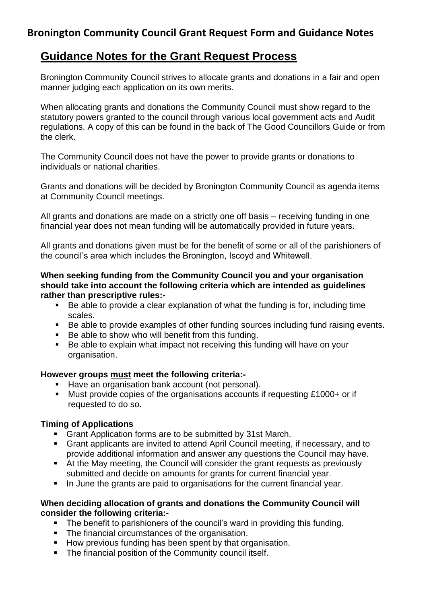## **Bronington Community Council Grant Request Form and Guidance Notes**

## **Guidance Notes for the Grant Request Process**

Bronington Community Council strives to allocate grants and donations in a fair and open manner judging each application on its own merits.

When allocating grants and donations the Community Council must show regard to the statutory powers granted to the council through various local government acts and Audit regulations. A copy of this can be found in the back of The Good Councillors Guide or from the clerk.

The Community Council does not have the power to provide grants or donations to individuals or national charities.

Grants and donations will be decided by Bronington Community Council as agenda items at Community Council meetings.

All grants and donations are made on a strictly one off basis – receiving funding in one financial year does not mean funding will be automatically provided in future years.

All grants and donations given must be for the benefit of some or all of the parishioners of the council's area which includes the Bronington, Iscoyd and Whitewell.

#### **When seeking funding from the Community Council you and your organisation should take into account the following criteria which are intended as guidelines rather than prescriptive rules:-**

- Be able to provide a clear explanation of what the funding is for, including time scales.
- Be able to provide examples of other funding sources including fund raising events.
- Be able to show who will benefit from this funding.
- Be able to explain what impact not receiving this funding will have on your organisation.

#### **However groups must meet the following criteria:-**

- Have an organisation bank account (not personal).
- Must provide copies of the organisations accounts if requesting £1000+ or if requested to do so.

#### **Timing of Applications**

- Grant Application forms are to be submitted by 31st March.
- Grant applicants are invited to attend April Council meeting, if necessary, and to provide additional information and answer any questions the Council may have.
- At the May meeting, the Council will consider the grant requests as previously submitted and decide on amounts for grants for current financial year.
- In June the grants are paid to organisations for the current financial year.

#### **When deciding allocation of grants and donations the Community Council will consider the following criteria:-**

- The benefit to parishioners of the council's ward in providing this funding.
- The financial circumstances of the organisation.
- How previous funding has been spent by that organisation.
- **•** The financial position of the Community council itself.